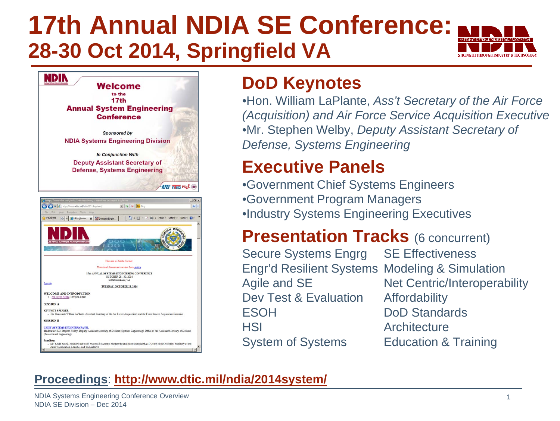#### **17th Annual NDIA SE Conference: 28-30 Oct 2014, Springfield VA** STRENGTH THROUGH INDUSTRY & TECHNOLOG



### **DoD Keynotes**

•Hon. William LaPlante, *Ass't Secretary of the Air Force (Acquisition) and Air Force Service Acquisition Executive* •Mr. Stephen Welby, *Deputy Assistant Secretary of Defense, Systems Engineering*

### **Executive Panels**

•Government Chief Systems Engineers •Government Program Managers •Industry Systems Engineering Executives

### **Presentation Tracks (6 concurrent)**

Secure Systems Engrg SE Effectiveness Engr'd Resilient Systems Modeling & Simulation Agile and SE Net Centric/Interoperability Dev Test & Evaluation Affordability ESOH DoD Standards HSI Architecture System of Systems Education & Training

#### **Proceedings**: **<http://www.dtic.mil/ndia/2014system/>**

NDIA Systems Engineering Conference Overview NDIA SE Division – Dec 2014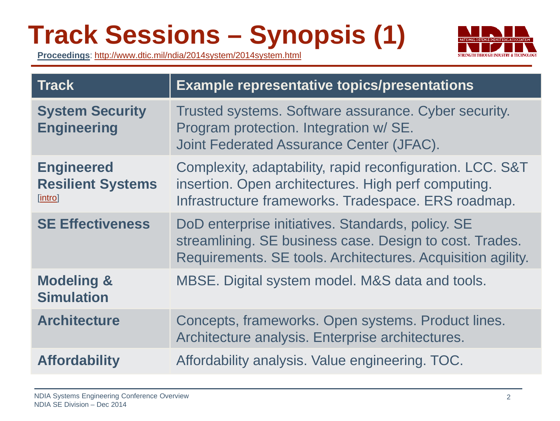## **Track Sessions – Synopsis (1)**



**Proceedings**:<http://www.dtic.mil/ndia/2014system/2014system.html>

| <b>Track</b>                                             | <b>Example representative topics/presentations</b>                                                                                                                          |
|----------------------------------------------------------|-----------------------------------------------------------------------------------------------------------------------------------------------------------------------------|
| <b>System Security</b><br><b>Engineering</b>             | Trusted systems. Software assurance. Cyber security.<br>Program protection. Integration w/ SE.<br>Joint Federated Assurance Center (JFAC).                                  |
| <b>Engineered</b><br><b>Resilient Systems</b><br>[intro] | Complexity, adaptability, rapid reconfiguration. LCC. S&T<br>insertion. Open architectures. High perf computing.<br>Infrastructure frameworks. Tradespace. ERS roadmap.     |
| <b>SE Effectiveness</b>                                  | DoD enterprise initiatives. Standards, policy. SE<br>streamlining. SE business case. Design to cost. Trades.<br>Requirements. SE tools. Architectures. Acquisition agility. |
| <b>Modeling &amp;</b><br><b>Simulation</b>               | MBSE. Digital system model. M&S data and tools.                                                                                                                             |
| <b>Architecture</b>                                      | Concepts, frameworks. Open systems. Product lines.<br>Architecture analysis. Enterprise architectures.                                                                      |
| <b>Affordability</b>                                     | Affordability analysis. Value engineering. TOC.                                                                                                                             |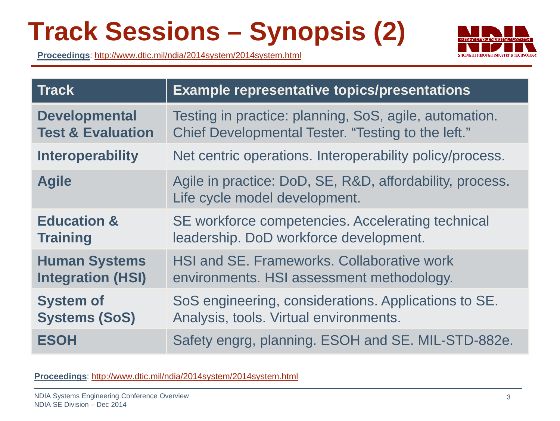## **Track Sessions – Synopsis (2)**

**Proceedings**:<http://www.dtic.mil/ndia/2014system/2014system.html>



| <b>Track</b>                 | <b>Example representative topics/presentations</b>                                        |
|------------------------------|-------------------------------------------------------------------------------------------|
| <b>Developmental</b>         | Testing in practice: planning, SoS, agile, automation.                                    |
| <b>Test &amp; Evaluation</b> | Chief Developmental Tester. "Testing to the left."                                        |
| <b>Interoperability</b>      | Net centric operations. Interoperability policy/process.                                  |
| <b>Agile</b>                 | Agile in practice: DoD, SE, R&D, affordability, process.<br>Life cycle model development. |
| <b>Education &amp;</b>       | SE workforce competencies. Accelerating technical                                         |
| <b>Training</b>              | leadership. DoD workforce development.                                                    |
| <b>Human Systems</b>         | HSI and SE. Frameworks. Collaborative work                                                |
| <b>Integration (HSI)</b>     | environments. HSI assessment methodology.                                                 |
| <b>System of</b>             | SoS engineering, considerations. Applications to SE.                                      |
| <b>Systems (SoS)</b>         | Analysis, tools. Virtual environments.                                                    |
| <b>ESOH</b>                  | Safety engrg, planning. ESOH and SE. MIL-STD-882e.                                        |

**Proceedings**:<http://www.dtic.mil/ndia/2014system/2014system.html>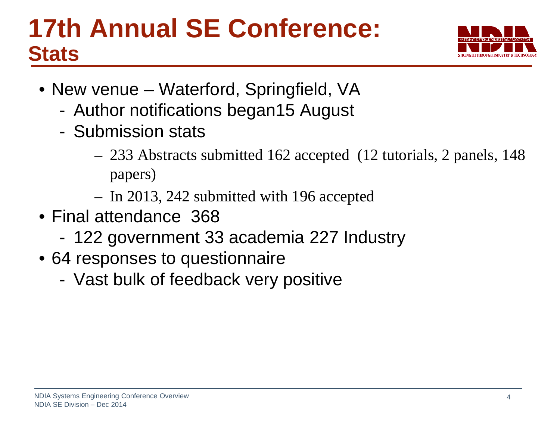## **17th Annual SE Conference: Stats**



- New venue Waterford, Springfield, VA
	- Author notifications began15 August
	- Submission stats
		- 233 Abstracts submitted 162 accepted (12 tutorials, 2 panels, 148 papers)
		- In 2013, 242 submitted with 196 accepted
- Final attendance 368
	- 122 government 33 academia 227 Industry
- 64 responses to questionnaire
	- Vast bulk of feedback very positive